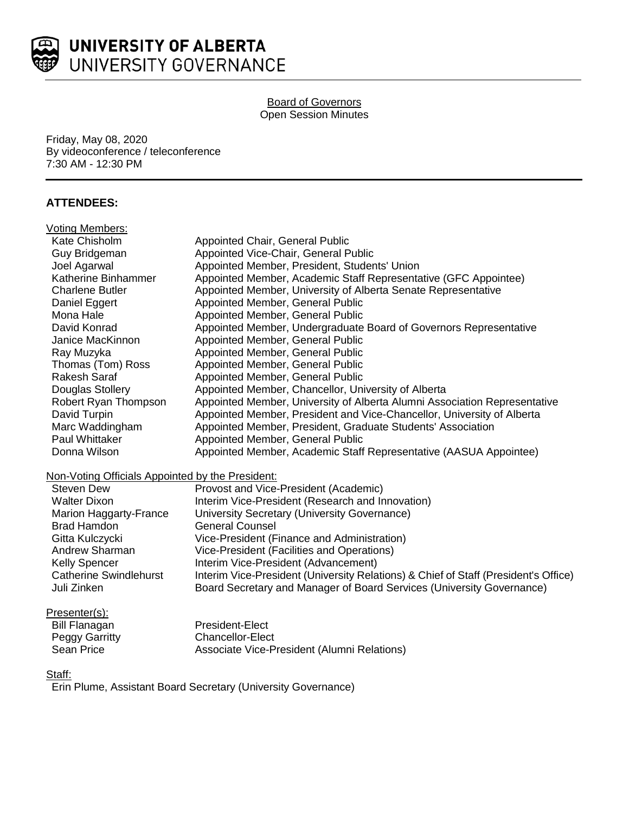

#### Board of Governors Open Session Minutes

Friday, May 08, 2020 By videoconference / teleconference 7:30 AM - 12:30 PM

# **ATTENDEES:**

| Voting Members:                                  |                                                                                     |
|--------------------------------------------------|-------------------------------------------------------------------------------------|
| Kate Chisholm                                    | Appointed Chair, General Public                                                     |
| Guy Bridgeman                                    | Appointed Vice-Chair, General Public                                                |
| Joel Agarwal                                     | Appointed Member, President, Students' Union                                        |
| Katherine Binhammer                              | Appointed Member, Academic Staff Representative (GFC Appointee)                     |
| <b>Charlene Butler</b>                           | Appointed Member, University of Alberta Senate Representative                       |
| Daniel Eggert                                    | Appointed Member, General Public                                                    |
| Mona Hale                                        | Appointed Member, General Public                                                    |
| David Konrad                                     | Appointed Member, Undergraduate Board of Governors Representative                   |
| Janice MacKinnon                                 | Appointed Member, General Public                                                    |
| Ray Muzyka                                       | Appointed Member, General Public                                                    |
| Thomas (Tom) Ross                                | Appointed Member, General Public                                                    |
| <b>Rakesh Saraf</b>                              | Appointed Member, General Public                                                    |
| Douglas Stollery                                 | Appointed Member, Chancellor, University of Alberta                                 |
| Robert Ryan Thompson                             | Appointed Member, University of Alberta Alumni Association Representative           |
| David Turpin                                     | Appointed Member, President and Vice-Chancellor, University of Alberta              |
| Marc Waddingham                                  | Appointed Member, President, Graduate Students' Association                         |
| Paul Whittaker                                   | Appointed Member, General Public                                                    |
| Donna Wilson                                     | Appointed Member, Academic Staff Representative (AASUA Appointee)                   |
| Non-Voting Officials Appointed by the President: |                                                                                     |
| <b>Steven Dew</b>                                | Provost and Vice-President (Academic)                                               |
| <b>Walter Dixon</b>                              | Interim Vice-President (Research and Innovation)                                    |
| Marion Haggarty-France                           | University Secretary (University Governance)                                        |
| <b>Brad Hamdon</b>                               | <b>General Counsel</b>                                                              |
| Gitta Kulczycki                                  | Vice-President (Finance and Administration)                                         |
| Andrew Sharman                                   | Vice-President (Facilities and Operations)                                          |
| <b>Kelly Spencer</b>                             | Interim Vice-President (Advancement)                                                |
| <b>Catherine Swindlehurst</b>                    | Interim Vice-President (University Relations) & Chief of Staff (President's Office) |
| Juli Zinken                                      | Board Secretary and Manager of Board Services (University Governance)               |
| Presenter(s):                                    |                                                                                     |
| <b>Bill Flanagan</b>                             | President-Flect                                                                     |

Bill Flanagan President-Elect<br>Peggy Garritty Peggy Chancellor-Elect Peggy Garritty Chancellor-Elect<br>
Sean Price Chancellor-Chancellor-Chancellor-P Associate Vice-President (Alumni Relations)

Staff:

Erin Plume, Assistant Board Secretary (University Governance)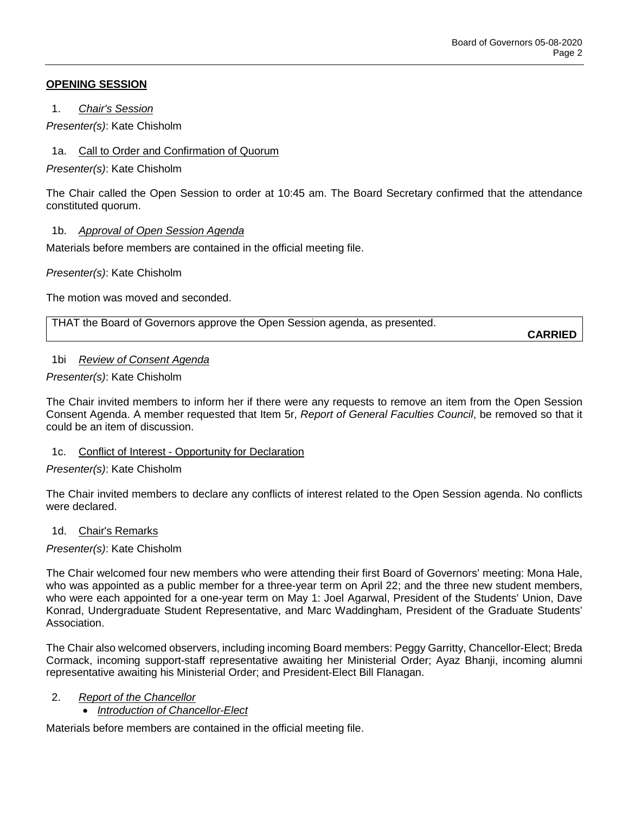# **OPENING SESSION**

1. *Chair's Session*

*Presenter(s)*: Kate Chisholm

1a. Call to Order and Confirmation of Quorum

*Presenter(s)*: Kate Chisholm

The Chair called the Open Session to order at 10:45 am. The Board Secretary confirmed that the attendance constituted quorum.

# 1b. *Approval of Open Session Agenda*

Materials before members are contained in the official meeting file.

*Presenter(s)*: Kate Chisholm

The motion was moved and seconded.

THAT the Board of Governors approve the Open Session agenda, as presented.

**CARRIED**

### 1bi *Review of Consent Agenda*

# *Presenter(s)*: Kate Chisholm

The Chair invited members to inform her if there were any requests to remove an item from the Open Session Consent Agenda. A member requested that Item 5r, *Report of General Faculties Council*, be removed so that it could be an item of discussion.

# 1c. Conflict of Interest - Opportunity for Declaration

# *Presenter(s)*: Kate Chisholm

The Chair invited members to declare any conflicts of interest related to the Open Session agenda. No conflicts were declared.

### 1d. Chair's Remarks

### *Presenter(s)*: Kate Chisholm

The Chair welcomed four new members who were attending their first Board of Governors' meeting: Mona Hale, who was appointed as a public member for a three-year term on April 22; and the three new student members, who were each appointed for a one-year term on May 1: Joel Agarwal, President of the Students' Union, Dave Konrad, Undergraduate Student Representative, and Marc Waddingham, President of the Graduate Students' Association.

The Chair also welcomed observers, including incoming Board members: Peggy Garritty, Chancellor-Elect; Breda Cormack, incoming support-staff representative awaiting her Ministerial Order; Ayaz Bhanji, incoming alumni representative awaiting his Ministerial Order; and President-Elect Bill Flanagan.

### 2. *Report of the Chancellor*

# • *Introduction of Chancellor-Elect*

Materials before members are contained in the official meeting file.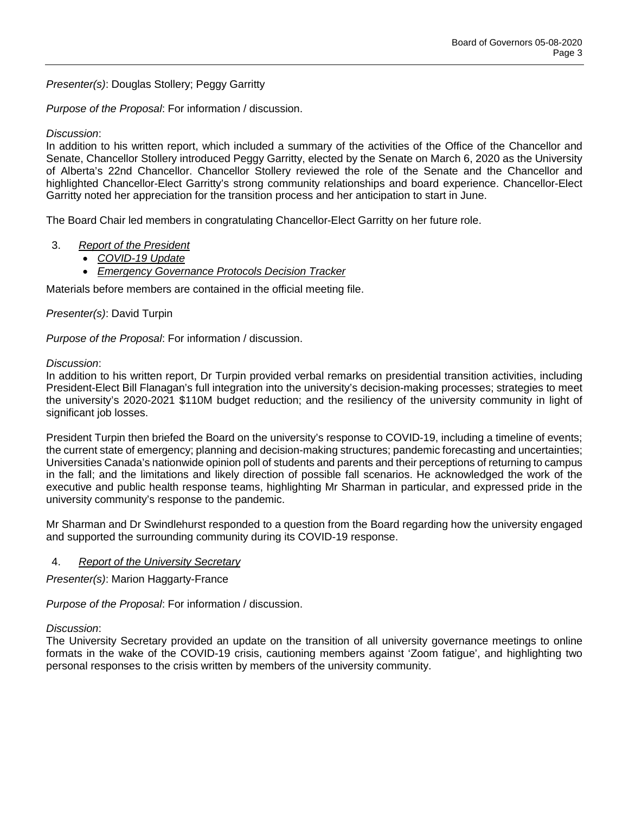*Presenter(s)*: Douglas Stollery; Peggy Garritty

*Purpose of the Proposal*: For information / discussion.

# *Discussion*:

In addition to his written report, which included a summary of the activities of the Office of the Chancellor and Senate, Chancellor Stollery introduced Peggy Garritty, elected by the Senate on March 6, 2020 as the University of Alberta's 22nd Chancellor. Chancellor Stollery reviewed the role of the Senate and the Chancellor and highlighted Chancellor-Elect Garritty's strong community relationships and board experience. Chancellor-Elect Garritty noted her appreciation for the transition process and her anticipation to start in June.

The Board Chair led members in congratulating Chancellor-Elect Garritty on her future role.

# 3. *Report of the President*

- *COVID-19 Update*
	- *Emergency Governance Protocols Decision Tracker*

Materials before members are contained in the official meeting file.

### *Presenter(s)*: David Turpin

*Purpose of the Proposal*: For information / discussion.

### *Discussion*:

In addition to his written report, Dr Turpin provided verbal remarks on presidential transition activities, including President-Elect Bill Flanagan's full integration into the university's decision-making processes; strategies to meet the university's 2020-2021 \$110M budget reduction; and the resiliency of the university community in light of significant job losses.

President Turpin then briefed the Board on the university's response to COVID-19, including a timeline of events; the current state of emergency; planning and decision-making structures; pandemic forecasting and uncertainties; Universities Canada's nationwide opinion poll of students and parents and their perceptions of returning to campus in the fall; and the limitations and likely direction of possible fall scenarios. He acknowledged the work of the executive and public health response teams, highlighting Mr Sharman in particular, and expressed pride in the university community's response to the pandemic.

Mr Sharman and Dr Swindlehurst responded to a question from the Board regarding how the university engaged and supported the surrounding community during its COVID-19 response.

### 4. *Report of the University Secretary*

*Presenter(s)*: Marion Haggarty-France

*Purpose of the Proposal*: For information / discussion.

### *Discussion*:

The University Secretary provided an update on the transition of all university governance meetings to online formats in the wake of the COVID-19 crisis, cautioning members against 'Zoom fatigue', and highlighting two personal responses to the crisis written by members of the university community.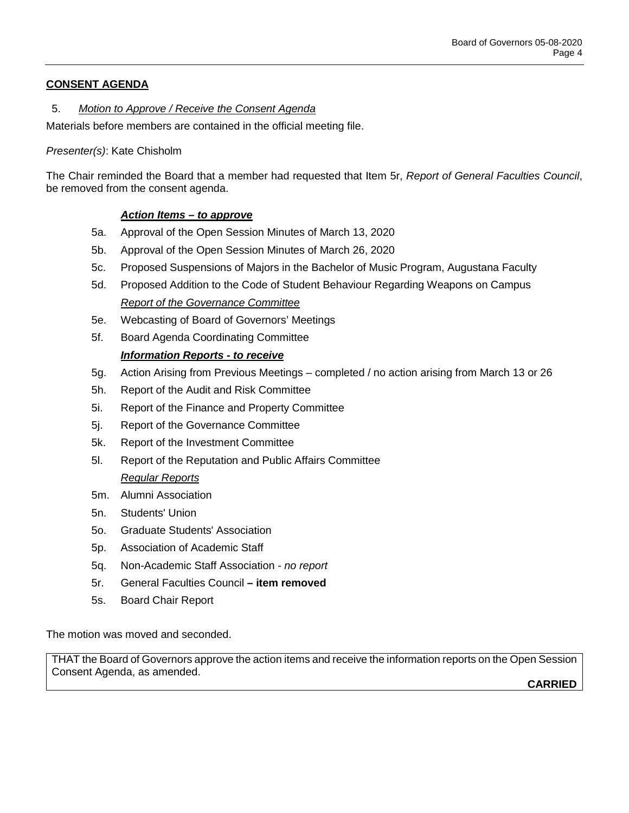# **CONSENT AGENDA**

# 5. *Motion to Approve / Receive the Consent Agenda*

Materials before members are contained in the official meeting file.

### *Presenter(s)*: Kate Chisholm

The Chair reminded the Board that a member had requested that Item 5r, *Report of General Faculties Council*, be removed from the consent agenda.

# *Action Items – to approve*

- 5a. Approval of the Open Session Minutes of March 13, 2020
- 5b. Approval of the Open Session Minutes of March 26, 2020
- 5c. Proposed Suspensions of Majors in the Bachelor of Music Program, Augustana Faculty
- 5d. Proposed Addition to the Code of Student Behaviour Regarding Weapons on Campus *Report of the Governance Committee*
- 5e. Webcasting of Board of Governors' Meetings
- 5f. Board Agenda Coordinating Committee

### *Information Reports - to receive*

- 5g. Action Arising from Previous Meetings completed / no action arising from March 13 or 26
- 5h. Report of the Audit and Risk Committee
- 5i. Report of the Finance and Property Committee
- 5j. Report of the Governance Committee
- 5k. Report of the Investment Committee
- 5l. Report of the Reputation and Public Affairs Committee *Regular Reports*
- 5m. Alumni Association
- 5n. Students' Union
- 5o. Graduate Students' Association
- 5p. Association of Academic Staff
- 5q. Non-Academic Staff Association *no report*
- 5r. General Faculties Council **– item removed**
- 5s. Board Chair Report

The motion was moved and seconded.

THAT the Board of Governors approve the action items and receive the information reports on the Open Session Consent Agenda, as amended.

**CARRIED**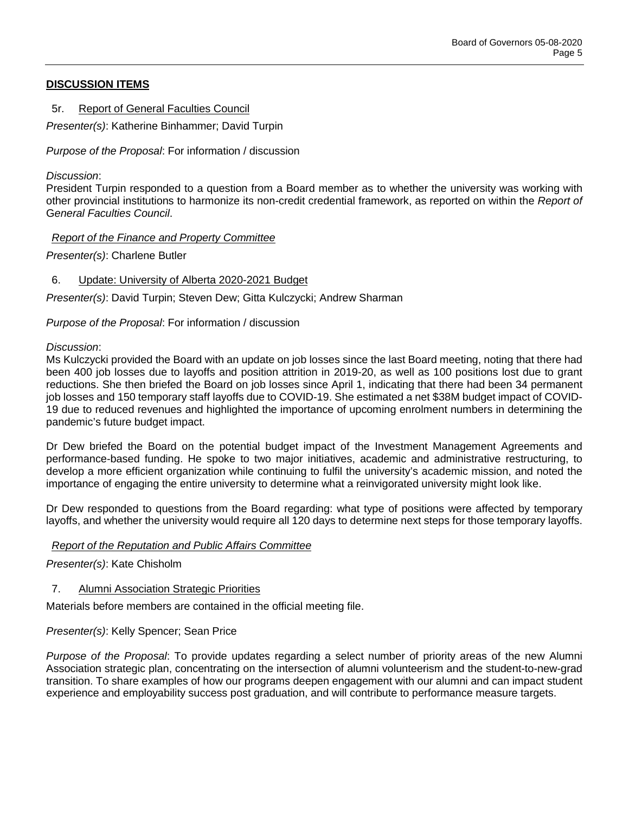# **DISCUSSION ITEMS**

5r. Report of General Faculties Council

*Presenter(s)*: Katherine Binhammer; David Turpin

*Purpose of the Proposal*: For information / discussion

### *Discussion*:

President Turpin responded to a question from a Board member as to whether the university was working with other provincial institutions to harmonize its non-credit credential framework, as reported on within the *Report of*  G*eneral Faculties Council*.

# *Report of the Finance and Property Committee*

*Presenter(s)*: Charlene Butler

# 6. Update: University of Alberta 2020-2021 Budget

*Presenter(s)*: David Turpin; Steven Dew; Gitta Kulczycki; Andrew Sharman

# *Purpose of the Proposal*: For information / discussion

### *Discussion*:

Ms Kulczycki provided the Board with an update on job losses since the last Board meeting, noting that there had been 400 job losses due to layoffs and position attrition in 2019-20, as well as 100 positions lost due to grant reductions. She then briefed the Board on job losses since April 1, indicating that there had been 34 permanent job losses and 150 temporary staff layoffs due to COVID-19. She estimated a net \$38M budget impact of COVID-19 due to reduced revenues and highlighted the importance of upcoming enrolment numbers in determining the pandemic's future budget impact.

Dr Dew briefed the Board on the potential budget impact of the Investment Management Agreements and performance-based funding. He spoke to two major initiatives, academic and administrative restructuring, to develop a more efficient organization while continuing to fulfil the university's academic mission, and noted the importance of engaging the entire university to determine what a reinvigorated university might look like.

Dr Dew responded to questions from the Board regarding: what type of positions were affected by temporary layoffs, and whether the university would require all 120 days to determine next steps for those temporary layoffs.

### *Report of the Reputation and Public Affairs Committee*

*Presenter(s)*: Kate Chisholm

# 7. Alumni Association Strategic Priorities

Materials before members are contained in the official meeting file.

### *Presenter(s)*: Kelly Spencer; Sean Price

*Purpose of the Proposal*: To provide updates regarding a select number of priority areas of the new Alumni Association strategic plan, concentrating on the intersection of alumni volunteerism and the student-to-new-grad transition. To share examples of how our programs deepen engagement with our alumni and can impact student experience and employability success post graduation, and will contribute to performance measure targets.